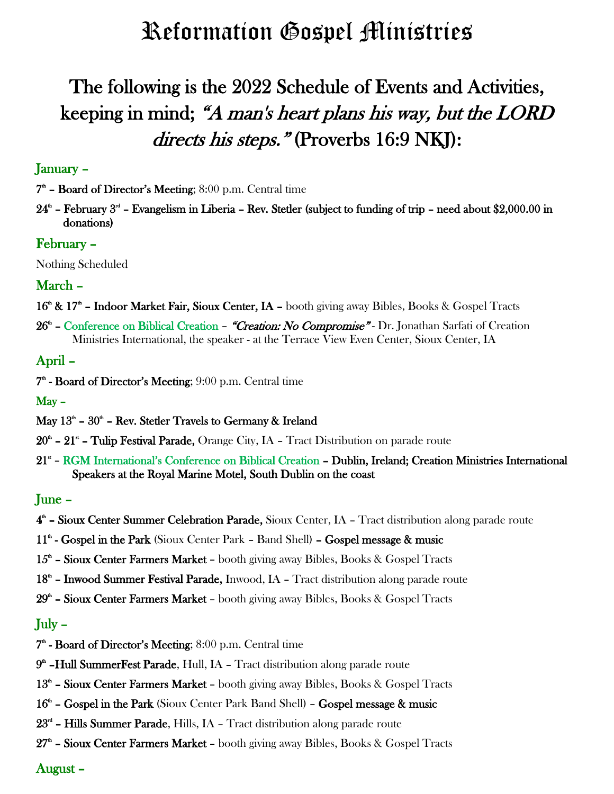# Reformation Gospel Ministries

## The following is the 2022 Schedule of Events and Activities, keeping in mind; "A man's heart plans his way, but the LORD directs his steps." (Proverbs 16:9 NKI):

### January –

 $7<sup>th</sup>$  – Board of Director's Meeting; 8:00 p.m. Central time

 $24<sup>th</sup>$  – February  $3<sup>th</sup>$  – Evangelism in Liberia – Rev. Stetler (subject to funding of trip – need about \$2,000.00 in donations)

#### February –

Nothing Scheduled

### March –

- $16^{\text{th}}$  &  $17^{\text{th}}$  Indoor Market Fair, Sioux Center, IA booth giving away Bibles, Books & Gospel Tracts
- 26<sup>th</sup> Conference on Biblical Creation "Creation: No Compromise" Dr. Jonathan Sarfati of Creation Ministries International, the speaker - at the Terrace View Even Center, Sioux Center, IA

### April –

 $7<sup>th</sup>$  - Board of Director's Meeting;  $9:00$  p.m. Central time

May –

- May  $13<sup>th</sup>$   $30<sup>th</sup>$  Rev. Stetler Travels to Germany & Ireland
- $20^{\texttt{a}}$   $21^{\texttt{a}}$  Tulip Festival Parade, Orange City, IA Tract Distribution on parade route
- 21<sup>\*</sup> RGM International's Conference on Biblical Creation Dublin, Ireland; Creation Ministries International Speakers at the Royal Marine Motel, South Dublin on the coast

#### June –

- 4<sup>th</sup> Sioux Center Summer Celebration Parade, Sioux Center, IA Tract distribution along parade route
- 11<sup>th</sup> Gospel in the Park (Sioux Center Park Band Shell) Gospel message & music
- $15<sup>th</sup>$  Sioux Center Farmers Market booth giving away Bibles, Books & Gospel Tracts
- 18<sup>th</sup> Inwood Summer Festival Parade, Inwood, IA Tract distribution along parade route
- 29<sup>th</sup> Sioux Center Farmers Market booth giving away Bibles, Books & Gospel Tracts

### July –

- $7<sup>th</sup>$  Board of Director's Meeting; 8:00 p.m. Central time
- 9<sup>th</sup> Hull SummerFest Parade, Hull, IA Tract distribution along parade route
- 13<sup>th</sup> Sioux Center Farmers Market booth giving away Bibles, Books & Gospel Tracts
- 16<sup>th</sup> Gospel in the Park (Sioux Center Park Band Shell) Gospel message & music
- $23<sup>rd</sup>$  Hills Summer Parade, Hills, IA Tract distribution along parade route
- 27<sup>th</sup> Sioux Center Farmers Market booth giving away Bibles, Books & Gospel Tracts

#### August –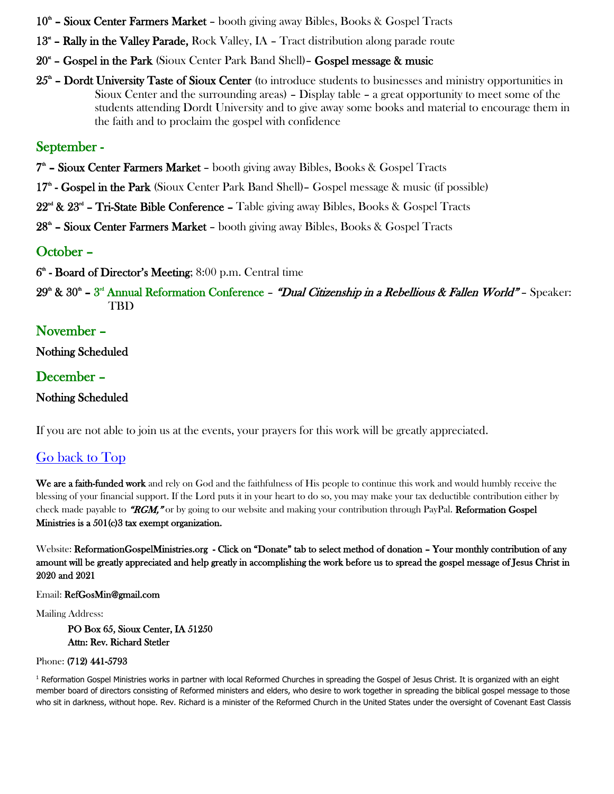- 10<sup>th</sup> Sioux Center Farmers Market booth giving away Bibles, Books & Gospel Tracts
- 13<sup><sup>\*</sup></sup> Rally in the Valley Parade, Rock Valley, IA Tract distribution along parade route
- 20<sup>\*</sup> Gospel in the Park (Sioux Center Park Band Shell) Gospel message & music
- $25<sup>th</sup>$  Dordt University Taste of Sioux Center (to introduce students to businesses and ministry opportunities in Sioux Center and the surrounding areas) – Display table – a great opportunity to meet some of the students attending Dordt University and to give away some books and material to encourage them in the faith and to proclaim the gospel with confidence

## September -

7<sup>th</sup> – Sioux Center Farmers Market – booth giving away Bibles, Books & Gospel Tracts

17<sup>th</sup> - Gospel in the Park (Sioux Center Park Band Shell) - Gospel message & music (if possible)

22<sup>nd</sup> & 23<sup>nd</sup> – Tri-State Bible Conference – Table giving away Bibles, Books & Gospel Tracts

28<sup>th</sup> – Sioux Center Farmers Market – booth giving away Bibles, Books & Gospel Tracts

## October –

6<sup>th</sup> - Board of Director's Meeting; 8:00 p.m. Central time

29<sup>th</sup> & 30<sup>th</sup> – 3<sup>rd</sup> Annual Reformation Conference – "Dual Citizenship in a Rebellious & Fallen World" – Speaker: TBD

## November –

Nothing Scheduled

## December –

## Nothing Scheduled

If you are not able to join us at the events, your prayers for this work will be greatly appreciated.

## Go back to Top

We are a faith-funded work and rely on God and the faithfulness of His people to continue this work and would humbly receive the blessing of your financial support. If the Lord puts it in your heart to do so, you may make your tax deductible contribution either by check made payable to "RGM," or by going to our website and making your contribution through PayPal. Reformation Gospel Ministries is a 501(c)3 tax exempt organization.

Website: ReformationGospelMinistries.org - Click on "Donate" tab to select method of donation – Your monthly contribution of any amount will be greatly appreciated and help greatly in accomplishing the work before us to spread the gospel message of Jesus Christ in 2020 and 2021

Email: RefGosMin@gmail.com

Mailing Address:

PO Box 65, Sioux Center, IA 51250 Attn: Rev. Richard Stetler

#### Phone: (712) 441-5793

<sup>1</sup> Reformation Gospel Ministries works in partner with local Reformed Churches in spreading the Gospel of Jesus Christ. It is organized with an eight member board of directors consisting of Reformed ministers and elders, who desire to work together in spreading the biblical gospel message to those who sit in darkness, without hope. Rev. Richard is a minister of the Reformed Church in the United States under the oversight of Covenant East Classis